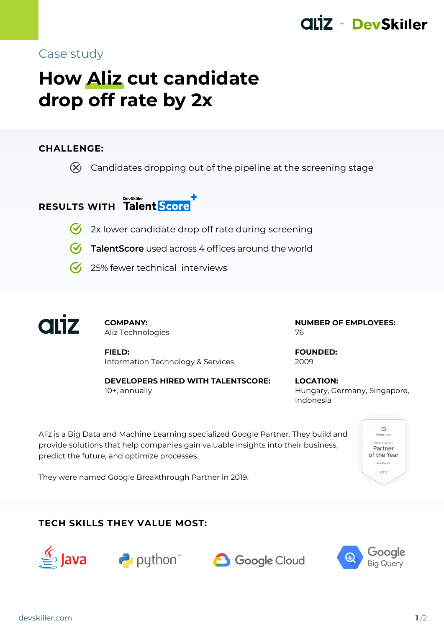## + DevSkiller

## Case study

# **How Aliz cut candidate drop off rate by 2x**

### **CHALLENGE:**

 $\chi$  Candidates dropping out of the pipeline at the screening stage

## **RESULTS WITH Talent Score**

- $\bullet$  2x lower candidate drop off rate during screening
- **TalentScore** used across 4 offices around the world
- $\bigcirc$  25% fewer technical interviews



**COMPANY:** Aliz Technologies

**FIELD:** Information Technology & Services

**DEVELOPERS HIRED WITH TALENTSCORE:** 10+, annually

**NUMBER OF EMPLOYEES:** 76

**FOUNDED:** 2009

**LOCATION:** Hungary, Germany, Singapore, Indonesia

Aliz is a Big Data and Machine Learning specialized Google Partner. They build and provide solutions that help companies gain valuable insights into their business, predict the future, and optimize processes.



They were named Google Breakthrough Partner in 2019.

## **TECH SKILLS THEY VALUE MOST:**